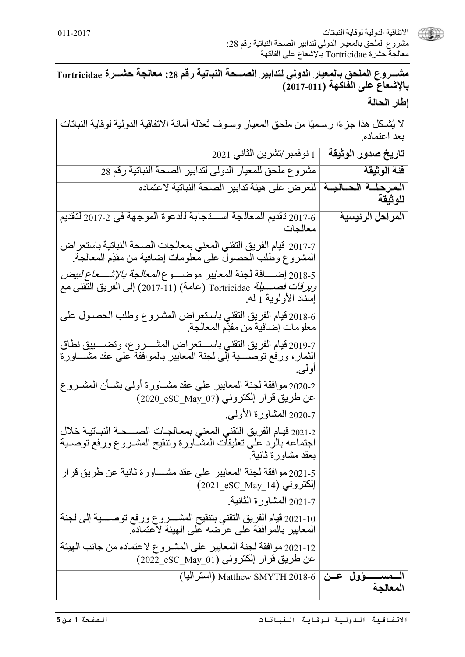

(الإتفاقية الدولية لوقاية النباتات مشروع الملحق بالمعيار الدولي لتدابير الصحة النباتية رقم 28: معالجةٌ حشرة Tortricidae بـالإشعاع على الفاكهة

مشـــروع الملحق بالمعيار الدولي لتدابير الصـــحة النباتية رقم 28: معالجة حشـــرة Tortricidae بالإشعاع على الفاكهة (2017-011) إطار الحالة

لا يُشكل هذا جزءًا رسميًا من ملحق المعيار وسـوف تَعدّله أمانـة الاتفاقيـة الدولية لوقايـة النباتات بعد اعتماده.

| 1 نوفمبر/تشرين الثاني 2021                                                                                                                                                                    | تاريخ صدور الوثيقة |
|-----------------------------------------------------------------------------------------------------------------------------------------------------------------------------------------------|--------------------|
| مشروع ملحق للمعيار الدولي لتدابير الصحة النباتية رقم 28                                                                                                                                       | فئة الوثيقة        |
| المرحلـــة الـحــاليـــة   للعرض على هيئة تدابير الصحة النباتية لاعتماده                                                                                                                      | للوثيقة            |
| 2017-6 نقديم المعالجة اســــتجابة للدعوة الموجهة في 2-2017 لتقديم<br>معالجات                                                                                                                  | المراحل الرئيسية   |
| 2017-7 قيام الفريق التقني المعني بمعالجات الصحة النباتية باستعر اض<br>المشروع وطلب الحصول على معلومات إضافية من مقدِّم المعالجة.                                                              |                    |
| 2018-5 إضــــــافة لـجنة المعايير موضـــــو ع <i>المعالـجة بالإشـــــعاع لبيض</i><br><i>ويرقات فصــــــلِة</i> Tortricidae (عامة) (11-2017) إلى الفريق النقني مع<br>إسناد الأولوية 1 له.      |                    |
| 6-2018 قيام الفريق النقني باستعراض المشروع وطلب الحصـول على<br>معلومات إضـافية من مقدِّم المعالجة.                                                                                            |                    |
| 2019-7 قيام الفريق النقني باســـتعر اض المشـــروع، وتضــــييق نطاق<br>الثمار ، ورفع توصــــــية إلى لجنة المعايير بالموافقة على عقد مشــــــاورة<br>أولمي.                                    |                    |
| 2020.2 موافقة لجنة المعايير على عقد مشــاورة أولـي بشــأن المشــروع<br>عن طريق قرار الكتروني (07_eSC_May) عن طريق قرار                                                                        |                    |
| 2020-7 المشاورة الأولىي<br>2021-2 قيـام الفريق النقني المعني بمعـالجـات الصـــــحـة النبــاتيــة خلال<br>اجتماعه بالرد على تعليقات المشاورة وتنقيح المشـروع ورفع توصـية<br>بعقد مشاورة ثانية. |                    |
| 2021-5 موافقة لجنة المعايير على عقد مشــــاورة ثانية عن طريق قرار<br>الكتروني (201_eSC_May_14)                                                                                                |                    |
| 2021-7 المشاورة الثانية.<br>10-2021 قيام الفريق التقني بتنقيح المشـــروع ورفع توصـــية إلى لجنة<br>المعايير بالموافقة على عرضه على الهيئة لاعتماده.                                           |                    |
| 12-2021 موافقة لجنة المعايير على المشروع لاعتماده من جانب الهيئة<br>عن طريق قرار إلكتروني (SC May 01) 2022 eSC                                                                                |                    |
| مســــــؤول عـــن   Matthew SMYTH 2018-6 (أستراليا)                                                                                                                                           | المعالجة           |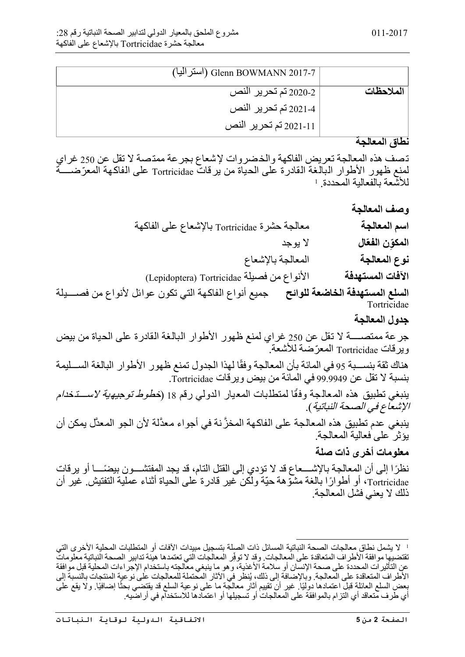|           | استراليا) Glenn BOWMANN 2017-7 |
|-----------|--------------------------------|
| الملاحظات | 2-2020 تم تحرير النص           |
|           | 2021-4 تم تحرير النص           |
|           | 2021-11 تم تحرير النص          |

## **نطاق المعالجة**

تصف ھذه المعالجة تعریض الفاكھة والخضروات لإشعاع بجرعة ممتصة لا تقل عن 250 غراي لمنع ظهور الأطوار البالغة القادرة على الحياة من يرقات Tortricidae على الفاكهة المعرّضــــة للأشعة بالفعالية المحددة. ا

**وصف المعالجة اسم المعالجة** معالجة حشرة Tortricidae بالإشعاع على الفاكھة **ّال** لا یوجد **المكون الفع ِّ نوع المعالجة** المعالجة بالإشعاع

**الآفات المستھدفة** الأنواع من فصیلة Tortricidae) Lepidoptera(

**السلع المستھدفة الخاضعة للوائح** جمیع أنواع الفاكھة التي تكون عوائل لأنواع من فص������یلة **Tortricidae** 

**جدول المعالجة**

جرعة ممتص������ة لا تقل عن 250 غراي لمنع ظھور الأطوار البالغة القادرة على الحیاة من بیض ویرقات Tortricidae ّ المعرضة للأشعة.

هناك ثقة بنســـبة 95 في المائة بأن المعالجة وفقًا لهذا الجدول تمنع ظهور الأطوار البالغة الســـليمة بنسبة لا تقل عن 99.9949 في المائة من بیض ویرقات Tortricidae.

ينبغي تطبيق هذه المعالجة وفقًا لمتطلبات المعيار الدولي رقم 18 (*خطوط توجيهية لاستخدام* الإشعاع في الصحة النباتیة).

ینبغي َّ عدم تطبیق ھذه المعالجة على الفاكھة المخزنة في أجواء معدَّلة لأن الجو المعدَّل یمكن أن یؤثر على فعالیة المعالجة.

## **معلومات أخرى ذات صلة**

نظرًا إلى أن المعالجة بالإشــــعاع قد لا تؤدي إلى القتل التام، قد بـجد المفتشـــو ن بيضـًـــا أو ير قات Tortricidae و أطوارًا بالغة مشوَّهة حيَّة ولكن غير قادرة على الحياة أثناء عملية التفتيش. غير أن ذلك لا یعني فشل المعالجة.

لا یشمل نطاق معالجات الصحة النباتیة المسائل ذات الصلة بتسجیل مبیدات الآفات أو المتطلبات المحلیة الأخرى التي 1 تقتضيها موافقة الأطراف المتعاقدة على المعالجات. وقد لا توفِّر المعالجات التي تعتمدها هيئة تدابير الصحة النباتية معلومات عن التأثیرات المحددة على صحة الإنسان أو سلامة الأغذیة، وھو ما ینبغي معالجتھ باستخدام الإجراءات المحلیة قبل موافقة الأطراف المتعاقدة على المعالجة. وبالإضافة إلى ذلك، يُنظر في الأثار المحتملة للمعالجات على نوعية المنتجات بالنسبة إلى بعض السلع العائلة قبل اعتمادها دوليًا. غير أن تقييم آثار معالجة ما على نوعية السلع قد يقتضي بحثًا إضافيًا. ولا يقع على أي طرف متعاقد أي التزام بالموافقة على المعالجات أو تسجیلھا أو اعتمادھا للاستخدام في أراضیھ.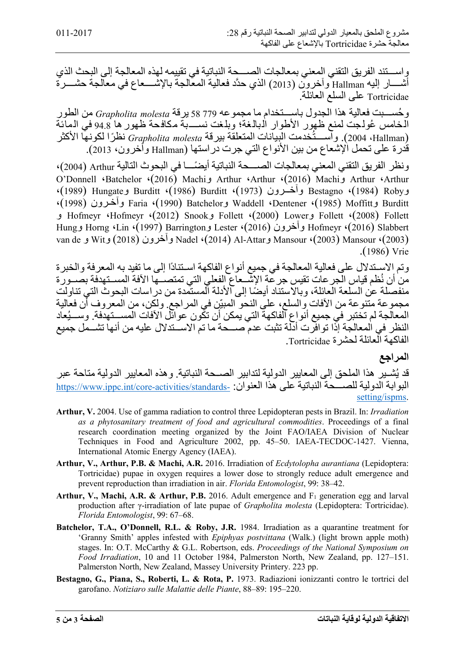واســــتند الفريق التقني المعني بمعالجات الصـــــحة النباتية في تقييمه لـهذه المعالجة إلى البحث الذي أشـــــار إليه Hallman وآخرون (2013) الذي حدَّد فعالية المعالجة بالإشـــــعاع في معالجة حشـــــرة Tortricidae على السلع العائلة.

وحُســـبت فعالية هذا الجدول باســـتخدام ما مجموعه 779 58 يرقة Grapholita molesta من الطور<br>الـخـامس عُولـجت لمنع ظهور الأطوار الـبالـغة؛ وبلـغت نســــبة مكافـحة ظهور ها 94.8 في الـمائـة<br>(Hallman)، 12004). واســــتُخدمت الب قدرة على تحمل الإشعاع من بین الأنواع التي جرت دراستھا (Hallman وآخرون، 2013).

ونظر الفريق التقني المعني بمعالجات الصــــحة النباتية أيضئــــا في البحوث التالية Arthur (2004) 4)<br>Arthur 2016) Machi في Arthur (2016) Machi في Arthur (2016) Arthur 2016 ،(1989) Hungateو Burditt ،(1986) Burditt ،(1973) رون���وآخ Bestagno ،(1984) Robyو ،(1998) رون�وآخ Faria ،(1990) Batchelorو Waddell ،Dentener ،(1985) Moffittو Burditt و Hofmeyr ،Hofmeyr ،(2012) Snookو Follett ،(2000) Lowerو Follett ،(2008) Follett Hungو Horng ،Lin ،(1997) Barringtonو Lester ،(2016) وآخرون Hofmeyr ،(2016) Slabbert van de و Witو) 2018 (وآخرون Nadel ،(2014) Al-Attarو Mansour ،(2003) Mansour ،(2003) .(1986) Vrie

وتم الاس��تدلال على فعالیة المعالجة في جمیع أنواع الفاكھة اس��تنادًا إلى ما تفید بھ المعرفة والخبرة من أن نُظم قياس الجر عات تقيس جر عة الإشَّــعاع الفعلي التي تمتصـــها الآفة المســتهدفة بصـــور ة منفصلة عن السلعة العائلة، وبالاستناد أيضًا إلى الأدلة المستمدة من دراسات البحوث التي تناولت<br>مجموعة متنوعة من الأفات والسلع، على النحو المبيّن في المراجع ولكن، من المعروف أن فعالية المعالجة لم تختبر في جميع أنواع الفاكهة التي يمكن أن تكون عوائل الآفات المســتهدفة. وســـيُعاد النظر في المعالجة إذا توافرت أدلة تثبت عدم صـــحة ما تم الاســتدلال علیه من أنها تشــمل جمیع الفاكھة العائلة لحشرة Tortricidae.

## **المراجع**

قد يُشــيرِ هذا الملحق إلى المعايير الدولية لتدابير الصــحة النباتية. وهذه المعايير الدولية متاحة عبر البوابةالدولية للصحّة النباتية على هذا العنوان: -https://www.ippc.int/core-activities/standards [setting/ispms](https://www.ippc.int/core-activities/standards-setting/ispms).

- **Arthur, V.** 2004. Use of gamma radiation to control three Lepidopteran pests in Brazil. In: *Irradiation as a phytosanitary treatment of food and agricultural commodities*. Proceedings of a final research coordination meeting organized by the Joint FAO/IAEA Division of Nuclear Techniques in Food and Agriculture 2002, pp. 45–50. IAEA-TECDOC-1427. Vienna, International Atomic Energy Agency (IAEA).
- **Arthur, V., Arthur, P.B. & Machi, A.R.** 2016. Irradiation of *Ecdytolopha aurantiana* (Lepidoptera: Tortricidae) pupae in oxygen requires a lower dose to strongly reduce adult emergence and prevent reproduction than irradiation in air. *Florida Entomologist*, 99: 38–42.
- Arthur, V., Machi, A.R. & Arthur, P.B. 2016. Adult emergence and F<sub>1</sub> generation egg and larval production after γ-irradiation of late pupae of *Grapholita molesta* (Lepidoptera: Tortricidae). *Florida Entomologist*, 99: 67–68.
- **Batchelor, T.A., O'Donnell, R.L. & Roby, J.R.** 1984. Irradiation as a quarantine treatment for 'Granny Smith' apples infested with *Epiphyas postvittana* (Walk.) (light brown apple moth) stages. In: O.T. McCarthy & G.L. Robertson, eds. *Proceedings of the National Symposium on Food Irradiation*, 10 and 11 October 1984, Palmerston North, New Zealand, pp. 127–151. Palmerston North, New Zealand, Massey University Printery. 223 pp.
- **Bestagno, G., Piana, S., Roberti, L. & Rota, P.** 1973. Radiazioni ionizzanti contro le tortrici del garofano. *Notiziaro sulle Malattie delle Piante*, 88–89: 195–220.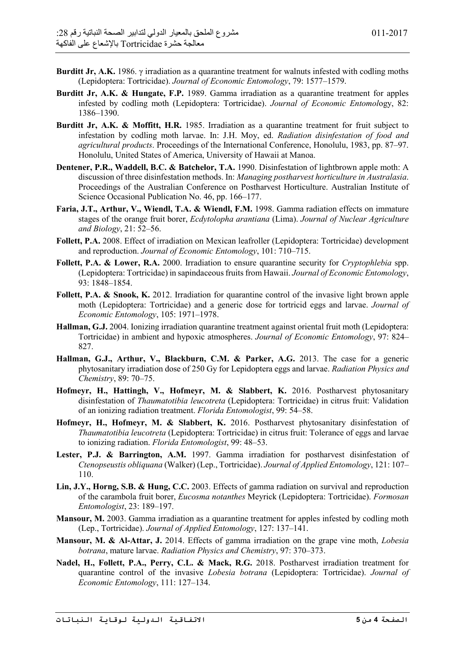- **Burditt Jr, A.K.** 1986. γ irradiation as a quarantine treatment for walnuts infested with codling moths (Lepidoptera: Tortricidae). *Journal of Economic Entomology*, 79: 1577–1579.
- **Burditt Jr, A.K. & Hungate, F.P.** 1989. Gamma irradiation as a quarantine treatment for apples infested by codling moth (Lepidoptera: Tortricidae). *Journal of Economic Entomol*ogy, 82: 1386–1390.
- **Burditt Jr, A.K. & Moffitt, H.R.** 1985. Irradiation as a quarantine treatment for fruit subject to infestation by codling moth larvae. In: J.H. Moy, ed. *Radiation disinfestation of food and agricultural products*. Proceedings of the International Conference, Honolulu, 1983, pp. 87–97. Honolulu, United States of America, University of Hawaii at Manoa.
- **Dentener, P.R., Waddell, B.C. & Batchelor, T.A.** 1990. Disinfestation of lightbrown apple moth: A discussion of three disinfestation methods. In: *Managing postharvest horticulture in Australasia*. Proceedings of the Australian Conference on Postharvest Horticulture. Australian Institute of Science Occasional Publication No. 46, pp. 166–177.
- **Faria, J.T., Arthur, V., Wiendl, T.A. & Wiendl, F.M.** 1998. Gamma radiation effects on immature stages of the orange fruit borer, *Ecdytolopha arantiana* (Lima). *Journal of Nuclear Agriculture and Biology*, 21: 52–56.
- **Follett, P.A.** 2008. Effect of irradiation on Mexican leafroller (Lepidoptera: Tortricidae) development and reproduction. *Journal of Economic Entomology*, 101: 710–715.
- **Follett, P.A. & Lower, R.A.** 2000. Irradiation to ensure quarantine security for *Cryptophlebia* spp. (Lepidoptera: Tortricidae) in sapindaceous fruits from Hawaii. *Journal of Economic Entomology*, 93: 1848–1854.
- **Follett, P.A. & Snook, K.** 2012. Irradiation for quarantine control of the invasive light brown apple moth (Lepidoptera: Tortricidae) and a generic dose for tortricid eggs and larvae. *Journal of Economic Entomology*, 105: 1971–1978.
- **Hallman, G.J.** 2004. Ionizing irradiation quarantine treatment against oriental fruit moth (Lepidoptera: Tortricidae) in ambient and hypoxic atmospheres. *Journal of Economic Entomology*, 97: 824– 827.
- **Hallman, G.J., Arthur, V., Blackburn, C.M. & Parker, A.G.** 2013. The case for a generic phytosanitary irradiation dose of 250 Gy for Lepidoptera eggs and larvae. *Radiation Physics and Chemistry*, 89: 70–75.
- **Hofmeyr, H., Hattingh, V., Hofmeyr, M. & Slabbert, K.** 2016. Postharvest phytosanitary disinfestation of *Thaumatotibia leucotreta* (Lepidoptera: Tortricidae) in citrus fruit: Validation of an ionizing radiation treatment. *Florida Entomologist*, 99: 54–58.
- **Hofmeyr, H., Hofmeyr, M. & Slabbert, K.** 2016. Postharvest phytosanitary disinfestation of *Thaumatotibia leucotreta* (Lepidoptera: Tortricidae) in citrus fruit: Tolerance of eggs and larvae to ionizing radiation. *Florida Entomologist*, 99: 48–53.
- Lester, P.J. & Barrington, A.M. 1997. Gamma irradiation for postharvest disinfestation of *Ctenopseustis obliquana* (Walker) (Lep., Tortricidae). *Journal of Applied Entomology*, 121: 107– 110.
- **Lin, J.Y., Horng, S.B. & Hung, C.C.** 2003. Effects of gamma radiation on survival and reproduction of the carambola fruit borer, *Eucosma notanthes* Meyrick (Lepidoptera: Tortricidae). *Formosan Entomologist*, 23: 189–197.
- **Mansour, M.** 2003. Gamma irradiation as a quarantine treatment for apples infested by codling moth (Lep., Tortricidae). *Journal of Applied Entomology*, 127: 137–141.
- **Mansour, M. & Al-Attar, J.** 2014. Effects of gamma irradiation on the grape vine moth, *Lobesia botrana*, mature larvae. *Radiation Physics and Chemistry*, 97: 370–373.
- **Nadel, H., Follett, P.A., Perry, C.L. & Mack, R.G.** 2018. Postharvest irradiation treatment for quarantine control of the invasive *Lobesia botrana* (Lepidoptera: Tortricidae). *Journal of Economic Entomology*, 111: 127–134.